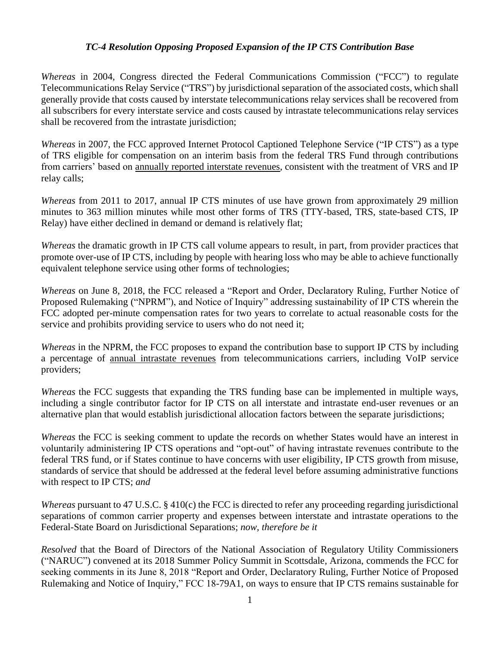## *TC-4 Resolution Opposing Proposed Expansion of the IP CTS Contribution Base*

*Whereas* in 2004, Congress directed the Federal Communications Commission ("FCC") to regulate Telecommunications Relay Service ("TRS") by jurisdictional separation of the associated costs, which shall generally provide that costs caused by interstate telecommunications relay services shall be recovered from all subscribers for every interstate service and costs caused by intrastate telecommunications relay services shall be recovered from the intrastate jurisdiction;

*Whereas* in 2007, the FCC approved Internet Protocol Captioned Telephone Service ("IP CTS") as a type of TRS eligible for compensation on an interim basis from the federal TRS Fund through contributions from carriers' based on annually reported interstate revenues, consistent with the treatment of VRS and IP relay calls;

*Whereas* from 2011 to 2017, annual IP CTS minutes of use have grown from approximately 29 million minutes to 363 million minutes while most other forms of TRS (TTY-based, TRS, state-based CTS, IP Relay) have either declined in demand or demand is relatively flat;

*Whereas* the dramatic growth in IP CTS call volume appears to result, in part, from provider practices that promote over-use of IP CTS, including by people with hearing loss who may be able to achieve functionally equivalent telephone service using other forms of technologies;

*Whereas* on June 8, 2018, the FCC released a "Report and Order, Declaratory Ruling, Further Notice of Proposed Rulemaking ("NPRM"), and Notice of Inquiry" addressing sustainability of IP CTS wherein the FCC adopted per-minute compensation rates for two years to correlate to actual reasonable costs for the service and prohibits providing service to users who do not need it;

*Whereas* in the NPRM, the FCC proposes to expand the contribution base to support IP CTS by including a percentage of annual intrastate revenues from telecommunications carriers, including VoIP service providers;

*Whereas* the FCC suggests that expanding the TRS funding base can be implemented in multiple ways, including a single contributor factor for IP CTS on all interstate and intrastate end-user revenues or an alternative plan that would establish jurisdictional allocation factors between the separate jurisdictions;

*Whereas* the FCC is seeking comment to update the records on whether States would have an interest in voluntarily administering IP CTS operations and "opt-out" of having intrastate revenues contribute to the federal TRS fund, or if States continue to have concerns with user eligibility, IP CTS growth from misuse, standards of service that should be addressed at the federal level before assuming administrative functions with respect to IP CTS; *and*

*Whereas* pursuant to 47 U.S.C. § 410(c) the FCC is directed to refer any proceeding regarding jurisdictional separations of common carrier property and expenses between interstate and intrastate operations to the Federal-State Board on Jurisdictional Separations; *now, therefore be it* 

*Resolved* that the Board of Directors of the National Association of Regulatory Utility Commissioners ("NARUC") convened at its 2018 Summer Policy Summit in Scottsdale, Arizona, commends the FCC for seeking comments in its June 8, 2018 "Report and Order, Declaratory Ruling, Further Notice of Proposed Rulemaking and Notice of Inquiry," FCC 18-79A1, on ways to ensure that IP CTS remains sustainable for